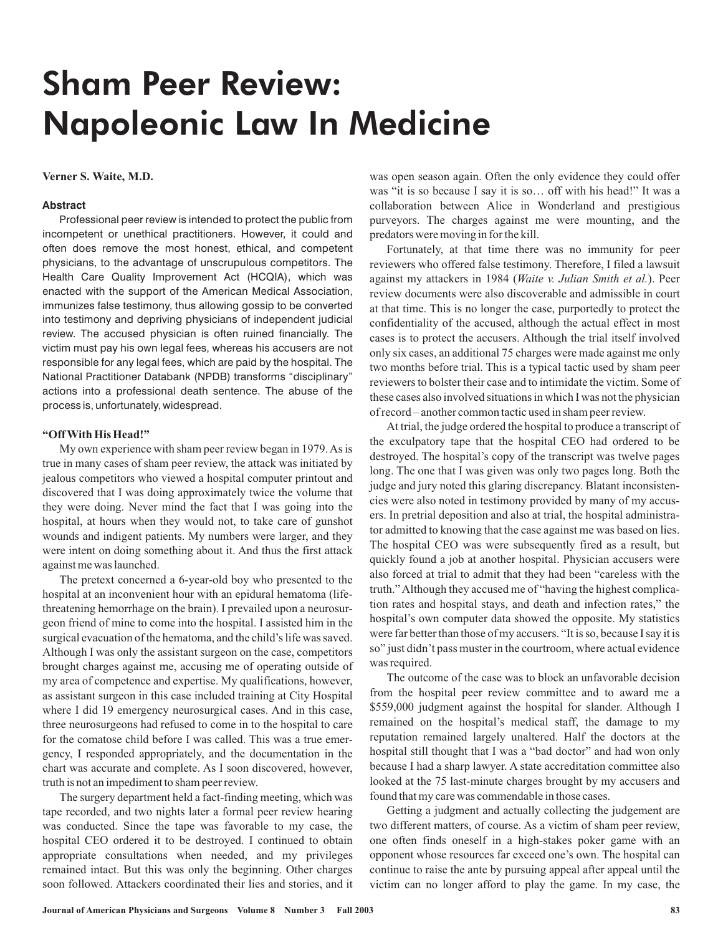# Sham Peer Review: Napoleonic Law In Medicine

#### **Verner S. Waite, M.D.**

#### **Abstract**

Professional peer review is intended to protect the public from incompetent or unethical practitioners. However, it could and often does remove the most honest, ethical, and competent physicians, to the advantage of unscrupulous competitors. The Health Care Quality Improvement Act (HCQIA), which was enacted with the support of the American Medical Association, immunizes false testimony, thus allowing gossip to be converted into testimony and depriving physicians of independent judicial review. The accused physician is often ruined financially. The victim must pay his own legal fees, whereas his accusers are not responsible for any legal fees, which are paid by the hospital. The National Practitioner Databank (NPDB) transforms "disciplinary" actions into a professional death sentence. The abuse of the process is, unfortunately, widespread.

#### **"OffWith His Head!"**

My own experience with sham peer review began in 1979.As is true in many cases of sham peer review, the attack was initiated by jealous competitors who viewed a hospital computer printout and discovered that I was doing approximately twice the volume that they were doing. Never mind the fact that I was going into the hospital, at hours when they would not, to take care of gunshot wounds and indigent patients. My numbers were larger, and they were intent on doing something about it. And thus the first attack against me was launched.

The pretext concerned a 6-year-old boy who presented to the hospital at an inconvenient hour with an epidural hematoma (lifethreatening hemorrhage on the brain). I prevailed upon a neurosurgeon friend of mine to come into the hospital. I assisted him in the surgical evacuation of the hematoma, and the child's life was saved. Although I was only the assistant surgeon on the case, competitors brought charges against me, accusing me of operating outside of my area of competence and expertise. My qualifications, however, as assistant surgeon in this case included training at City Hospital where I did 19 emergency neurosurgical cases. And in this case, three neurosurgeons had refused to come in to the hospital to care for the comatose child before I was called. This was a true emergency, I responded appropriately, and the documentation in the chart was accurate and complete. As I soon discovered, however, truth is not an impediment to sham peer review.

The surgery department held a fact-finding meeting, which was tape recorded, and two nights later a formal peer review hearing was conducted. Since the tape was favorable to my case, the hospital CEO ordered it to be destroyed. I continued to obtain appropriate consultations when needed, and my privileges remained intact. But this was only the beginning. Other charges soon followed. Attackers coordinated their lies and stories, and it was open season again. Often the only evidence they could offer was "it is so because I say it is so… off with his head!" It was a collaboration between Alice in Wonderland and prestigious purveyors. The charges against me were mounting, and the predators were moving in for the kill.

Fortunately, at that time there was no immunity for peer reviewers who offered false testimony. Therefore, I filed a lawsuit against my attackers in 1984 (Waite v. Julian Smith et al.). Peer review documents were also discoverable and admissible in court at that time. This is no longer the case, purportedly to protect the confidentiality of the accused, although the actual effect in most cases is to protect the accusers. Although the trial itself involved only six cases, an additional 75 charges were made against me only two months before trial. This is a typical tactic used by sham peer reviewers to bolster their case and to intimidate the victim. Some of these cases also involved situations in which I was not the physician of record – another common tactic used in sham peer review.

At trial, the judge ordered the hospital to produce a transcript of the exculpatory tape that the hospital CEO had ordered to be destroyed. The hospital's copy of the transcript was twelve pages long. The one that I was given was only two pages long. Both the judge and jury noted this glaring discrepancy. Blatant inconsistencies were also noted in testimony provided by many of my accusers. In pretrial deposition and also at trial, the hospital administrator admitted to knowing that the case against me was based on lies. The hospital CEO was were subsequently fired as a result, but quickly found a job at another hospital. Physician accusers were also forced at trial to admit that they had been "careless with the truth." Although they accused me of "having the highest complication rates and hospital stays, and death and infection rates," the hospital's own computer data showed the opposite. My statistics were far better than those of my accusers. "It is so, because I say it is so" just didn't pass muster in the courtroom, where actual evidence was required.

The outcome of the case was to block an unfavorable decision from the hospital peer review committee and to award me a \$559,000 judgment against the hospital for slander. Although I remained on the hospital's medical staff, the damage to my reputation remained largely unaltered. Half the doctors at the hospital still thought that I was a "bad doctor" and had won only because I had a sharp lawyer. A state accreditation committee also looked at the 75 last-minute charges brought by my accusers and found that my care was commendable in those cases.

Getting a judgment and actually collecting the judgement are two different matters, of course. As a victim of sham peer review, one often finds oneself in a high-stakes poker game with an opponent whose resources far exceed one's own. The hospital can continue to raise the ante by pursuing appeal after appeal until the victim can no longer afford to play the game. In my case, the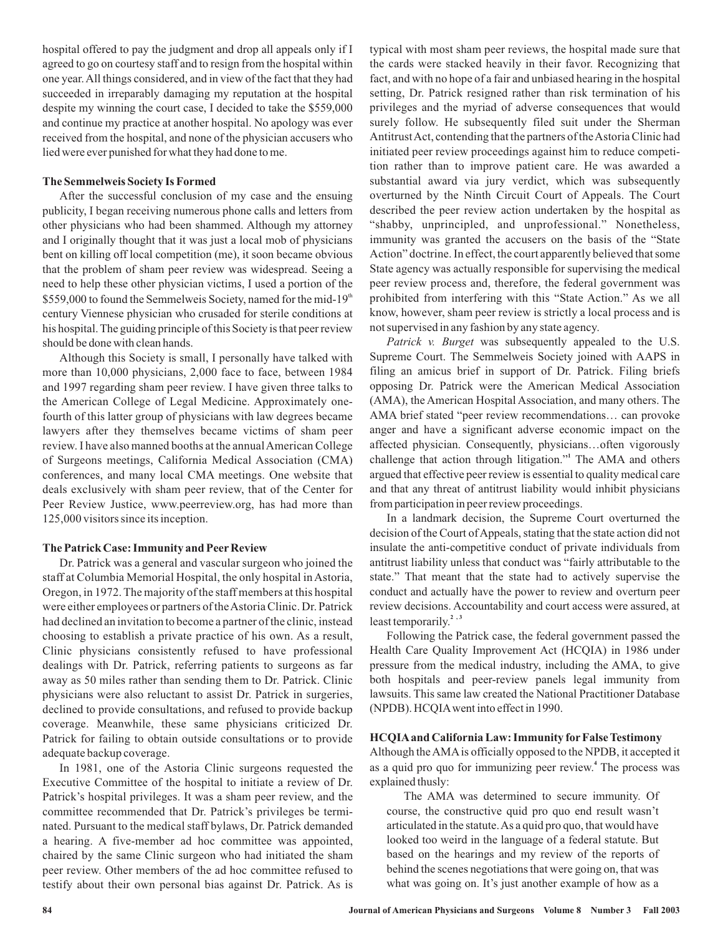hospital offered to pay the judgment and drop all appeals only if I agreed to go on courtesy staff and to resign from the hospital within one year. All things considered, and in view of the fact that they had succeeded in irreparably damaging my reputation at the hospital despite my winning the court case, I decided to take the \$559,000 and continue my practice at another hospital. No apology was ever received from the hospital, and none of the physician accusers who lied were ever punished for what they had done to me.

# **The Semmelweis Society Is Formed**

After the successful conclusion of my case and the ensuing publicity, I began receiving numerous phone calls and letters from other physicians who had been shammed. Although my attorney and I originally thought that it was just a local mob of physicians bent on killing off local competition (me), it soon became obvious that the problem of sham peer review was widespread. Seeing a need to help these other physician victims, I used a portion of the \$559,000 to found the Semmelweis Society, named for the mid-19<sup>th</sup> century Viennese physician who crusaded for sterile conditions at his hospital. The guiding principle of this Society is that peer review should be done with clean hands.

Although this Society is small, I personally have talked with more than 10,000 physicians, 2,000 face to face, between 1984 and 1997 regarding sham peer review. I have given three talks to the American College of Legal Medicine. Approximately onefourth of this latter group of physicians with law degrees became lawyers after they themselves became victims of sham peer review. I have also manned booths at the annual American College of Surgeons meetings, California Medical Association (CMA) conferences, and many local CMA meetings. One website that deals exclusively with sham peer review, that of the Center for Peer Review Justice, www.peerreview.org, has had more than 125,000 visitors since its inception.

### **The Patrick Case: Immunity and Peer Review**

Dr. Patrick was a general and vascular surgeon who joined the staff at Columbia Memorial Hospital, the only hospital in Astoria, Oregon, in 1972. The majority of the staff members at this hospital were either employees or partners of theAstoria Clinic. Dr. Patrick had declined an invitation to become a partner of the clinic, instead choosing to establish a private practice of his own. As a result, Clinic physicians consistently refused to have professional dealings with Dr. Patrick, referring patients to surgeons as far away as 50 miles rather than sending them to Dr. Patrick. Clinic physicians were also reluctant to assist Dr. Patrick in surgeries, declined to provide consultations, and refused to provide backup coverage. Meanwhile, these same physicians criticized Dr. Patrick for failing to obtain outside consultations or to provide adequate backup coverage.

In 1981, one of the Astoria Clinic surgeons requested the Executive Committee of the hospital to initiate a review of Dr. Patrick's hospital privileges. It was a sham peer review, and the committee recommended that Dr. Patrick's privileges be terminated. Pursuant to the medical staff bylaws, Dr. Patrick demanded a hearing. A five-member ad hoc committee was appointed, chaired by the same Clinic surgeon who had initiated the sham peer review. Other members of the ad hoc committee refused to testify about their own personal bias against Dr. Patrick. As is typical with most sham peer reviews, the hospital made sure that the cards were stacked heavily in their favor. Recognizing that fact, and with no hope of a fair and unbiased hearing in the hospital setting, Dr. Patrick resigned rather than risk termination of his privileges and the myriad of adverse consequences that would surely follow. He subsequently filed suit under the Sherman AntitrustAct, contending that the partners of theAstoria Clinic had initiated peer review proceedings against him to reduce competition rather than to improve patient care. He was awarded a substantial award via jury verdict, which was subsequently overturned by the Ninth Circuit Court of Appeals. The Court described the peer review action undertaken by the hospital as "shabby, unprincipled, and unprofessional." Nonetheless, immunity was granted the accusers on the basis of the "State Action" doctrine. In effect, the court apparently believed that some State agency was actually responsible for supervising the medical peer review process and, therefore, the federal government was prohibited from interfering with this "State Action." As we all know, however, sham peer review is strictly a local process and is not supervised in any fashion by any state agency.

Patrick v. Burget was subsequently appealed to the U.S. Supreme Court. The Semmelweis Society joined with AAPS in filing an amicus brief in support of Dr. Patrick. Filing briefs opposing Dr. Patrick were the American Medical Association (AMA), the American Hospital Association, and many others. The AMA brief stated "peer review recommendations… can provoke anger and have a significant adverse economic impact on the affected physician. Consequently, physicians…often vigorously challenge that action through litigation." The AMA and others **1** argued that effective peer review is essential to quality medical care and that any threat of antitrust liability would inhibit physicians from participation in peer review proceedings.

In a landmark decision, the Supreme Court overturned the decision of the Court of Appeals, stating that the state action did not insulate the anti-competitive conduct of private individuals from antitrust liability unless that conduct was "fairly attributable to the state." That meant that the state had to actively supervise the conduct and actually have the power to review and overturn peer review decisions. Accountability and court access were assured, at least temporarily.<sup>2</sup>,<sup>3</sup>

Following the Patrick case, the federal government passed the Health Care Quality Improvement Act (HCQIA) in 1986 under pressure from the medical industry, including the AMA, to give both hospitals and peer-review panels legal immunity from lawsuits. This same law created the National Practitioner Database (NPDB). HCQIAwent into effect in 1990.

#### **HCQIAand California Law: Immunity for FalseTestimony**

Although theAMAis officially opposed to the NPDB, it accepted it as a quid pro quo for immunizing peer review.<sup>4</sup> The process was explained thusly:

The AMA was determined to secure immunity. Of course, the constructive quid pro quo end result wasn't articulated in the statute.As a quid pro quo, that would have looked too weird in the language of a federal statute. But based on the hearings and my review of the reports of behind the scenes negotiations that were going on, that was what was going on. It's just another example of how as a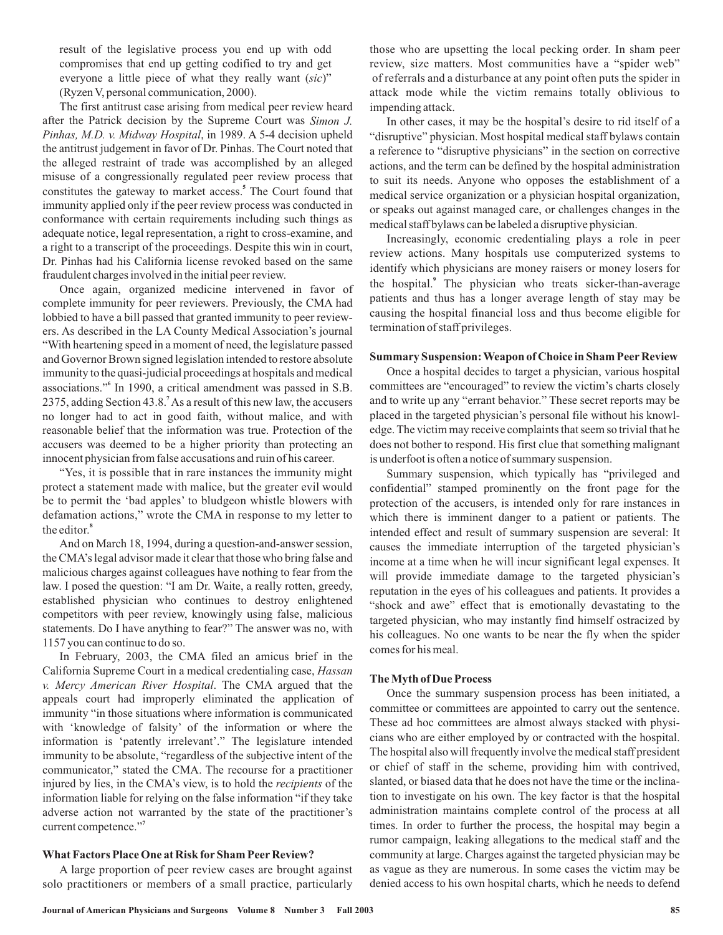result of the legislative process you end up with odd compromises that end up getting codified to try and get everyone a little piece of what they really want (sic)" (Ryzen V, personal communication, 2000).

The first antitrust case arising from medical peer review heard after the Patrick decision by the Supreme Court was *Simon J.* Pinhas, M.D. v. Midway Hospital, in 1989. A 5-4 decision upheld the antitrust judgement in favor of Dr. Pinhas. The Court noted that the alleged restraint of trade was accomplished by an alleged misuse of a congressionally regulated peer review process that constitutes the gateway to market access.<sup>5</sup> The Court found that immunity applied only if the peer review process was conducted in conformance with certain requirements including such things as adequate notice, legal representation, a right to cross-examine, and a right to a transcript of the proceedings. Despite this win in court, Dr. Pinhas had his California license revoked based on the same fraudulent charges involved in the initial peer review.

Once again, organized medicine intervened in favor of complete immunity for peer reviewers. Previously, the CMA had lobbied to have a bill passed that granted immunity to peer reviewers. As described in the LA County Medical Association's journal "With heartening speed in a moment of need, the legislature passed and Governor Brown signed legislation intended to restore absolute immunity to the quasi-judicial proceedings at hospitals and medical associations." In 1990, a critical amendment was passed in S.B. 2375, adding Section 43.8.<sup>7</sup> As a result of this new law, the accusers no longer had to act in good faith, without malice, and with reasonable belief that the information was true. Protection of the accusers was deemed to be a higher priority than protecting an innocent physician from false accusations and ruin of his career.

"Yes, it is possible that in rare instances the immunity might protect a statement made with malice, but the greater evil would be to permit the 'bad apples' to bludgeon whistle blowers with defamation actions," wrote the CMA in response to my letter to the editor. **8**

And on March 18, 1994, during a question-and-answer session, the CMA's legal advisor made it clear that those who bring false and malicious charges against colleagues have nothing to fear from the law. I posed the question: "I am Dr. Waite, a really rotten, greedy, established physician who continues to destroy enlightened competitors with peer review, knowingly using false, malicious statements. Do I have anything to fear?" The answer was no, with 1157 you can continue to do so.

In February, 2003, the CMA filed an amicus brief in the California Supreme Court in a medical credentialing case, *Hassan* v. Mercy American River Hospital. The CMA argued that the appeals court had improperly eliminated the application of immunity "in those situations where information is communicated with 'knowledge of falsity' of the information or where the information is 'patently irrelevant'." The legislature intended immunity to be absolute, "regardless of the subjective intent of the communicator," stated the CMA. The recourse for a practitioner injured by lies, in the CMA's view, is to hold the *recipients* of the information liable for relying on the false information "if they take adverse action not warranted by the state of the practitioner's current competence."<sup>7</sup>

# **What Factors Place One at Risk for Sham Peer Review?**

A large proportion of peer review cases are brought against solo practitioners or members of a small practice, particularly

those who are upsetting the local pecking order. In sham peer review, size matters. Most communities have a "spider web" of referrals and a disturbance at any point often puts the spider in attack mode while the victim remains totally oblivious to impending attack.

In other cases, it may be the hospital's desire to rid itself of a "disruptive" physician. Most hospital medical staff bylaws contain a reference to "disruptive physicians" in the section on corrective actions, and the term can be defined by the hospital administration to suit its needs. Anyone who opposes the establishment of a medical service organization or a physician hospital organization, or speaks out against managed care, or challenges changes in the medical staff bylaws can be labeled a disruptive physician.

Increasingly, economic credentialing plays a role in peer review actions. Many hospitals use computerized systems to identify which physicians are money raisers or money losers for the hospital.<sup>9</sup> The physician who treats sicker-than-average patients and thus has a longer average length of stay may be causing the hospital financial loss and thus become eligible for termination of staff privileges.

# **Summary Suspension:Weapon of Choice in Sham Peer Review**

Once a hospital decides to target a physician, various hospital committees are "encouraged" to review the victim's charts closely and to write up any "errant behavior." These secret reports may be placed in the targeted physician's personal file without his knowledge. The victim may receive complaints that seem so trivial that he does not bother to respond. His first clue that something malignant is underfoot is often a notice of summary suspension.

Summary suspension, which typically has "privileged and confidential" stamped prominently on the front page for the protection of the accusers, is intended only for rare instances in which there is imminent danger to a patient or patients. The intended effect and result of summary suspension are several: It causes the immediate interruption of the targeted physician's income at a time when he will incur significant legal expenses. It will provide immediate damage to the targeted physician's reputation in the eyes of his colleagues and patients. It provides a "shock and awe" effect that is emotionally devastating to the targeted physician, who may instantly find himself ostracized by his colleagues. No one wants to be near the fly when the spider comes for his meal.

### **TheMyth of Due Process**

Once the summary suspension process has been initiated, a committee or committees are appointed to carry out the sentence. These ad hoc committees are almost always stacked with physicians who are either employed by or contracted with the hospital. The hospital also will frequently involve the medical staff president or chief of staff in the scheme, providing him with contrived, slanted, or biased data that he does not have the time or the inclination to investigate on his own. The key factor is that the hospital administration maintains complete control of the process at all times. In order to further the process, the hospital may begin a rumor campaign, leaking allegations to the medical staff and the community at large. Charges against the targeted physician may be as vague as they are numerous. In some cases the victim may be denied access to his own hospital charts, which he needs to defend